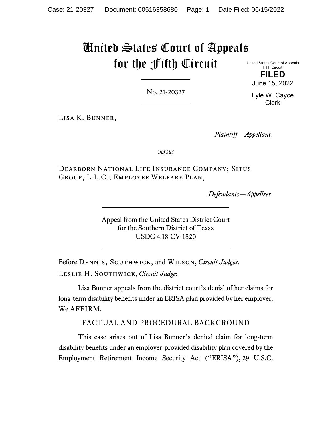# United States Court of Appeals for the Fifth Circuit

United States Court of Appeals Fifth Circuit **FILED**

June 15, 2022

No. 21-20327

Lyle W. Cayce Clerk

Lisa K. Bunner,

*Plaintiff—Appellant*,

*versus*

Dearborn National Life Insurance Company; Situs Group, L.L.C.; Employee Welfare Plan,

*Defendants—Appellees*.

Appeal from the United States District Court for the Southern District of Texas USDC 4:18-CV-1820

Before Dennis, Southwick, and Wilson, *Circuit Judges*. Leslie H. Southwick, *Circuit Judge*:

Lisa Bunner appeals from the district court's denial of her claims for long-term disability benefits under an ERISA plan provided by her employer. We AFFIRM.

FACTUAL AND PROCEDURAL BACKGROUND

This case arises out of Lisa Bunner's denied claim for long-term disability benefits under an employer-provided disability plan covered by the Employment Retirement Income Security Act ("ERISA"), 29 U.S.C.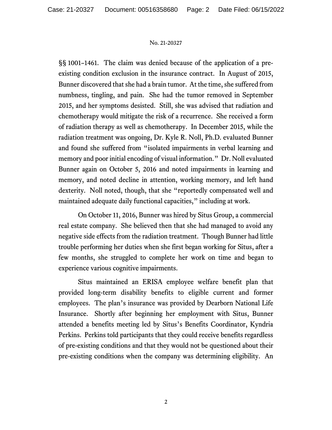§§ 1001–1461. The claim was denied because of the application of a preexisting condition exclusion in the insurance contract. In August of 2015, Bunner discovered that she had a brain tumor. At the time, she suffered from numbness, tingling, and pain. She had the tumor removed in September 2015, and her symptoms desisted. Still, she was advised that radiation and chemotherapy would mitigate the risk of a recurrence. She received a form of radiation therapy as well as chemotherapy. In December 2015, while the radiation treatment was ongoing, Dr. Kyle R. Noll, Ph.D. evaluated Bunner and found she suffered from "isolated impairments in verbal learning and memory and poor initial encoding of visual information." Dr. Noll evaluated Bunner again on October 5, 2016 and noted impairments in learning and memory, and noted decline in attention, working memory, and left hand dexterity. Noll noted, though, that she "reportedly compensated well and maintained adequate daily functional capacities," including at work.

On October 11, 2016, Bunner was hired by Situs Group, a commercial real estate company. She believed then that she had managed to avoid any negative side effects from the radiation treatment. Though Bunner had little trouble performing her duties when she first began working for Situs, after a few months, she struggled to complete her work on time and began to experience various cognitive impairments.

Situs maintained an ERISA employee welfare benefit plan that provided long-term disability benefits to eligible current and former employees. The plan's insurance was provided by Dearborn National Life Insurance. Shortly after beginning her employment with Situs, Bunner attended a benefits meeting led by Situs's Benefits Coordinator, Kyndria Perkins. Perkins told participants that they could receive benefits regardless of pre-existing conditions and that they would not be questioned about their pre-existing conditions when the company was determining eligibility. An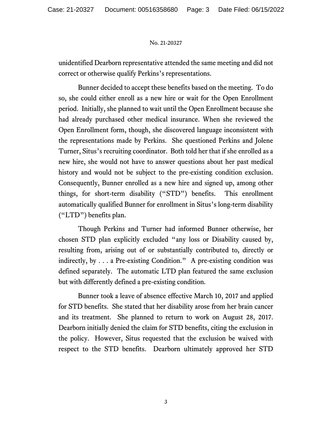unidentified Dearborn representative attended the same meeting and did not correct or otherwise qualify Perkins's representations.

Bunner decided to accept these benefits based on the meeting. To do so, she could either enroll as a new hire or wait for the Open Enrollment period. Initially, she planned to wait until the Open Enrollment because she had already purchased other medical insurance. When she reviewed the Open Enrollment form, though, she discovered language inconsistent with the representations made by Perkins. She questioned Perkins and Jolene Turner, Situs's recruiting coordinator. Both told her that if she enrolled as a new hire, she would not have to answer questions about her past medical history and would not be subject to the pre-existing condition exclusion. Consequently, Bunner enrolled as a new hire and signed up, among other things, for short-term disability ("STD") benefits. This enrollment automatically qualified Bunner for enrollment in Situs's long-term disability ("LTD") benefits plan.

Though Perkins and Turner had informed Bunner otherwise, her chosen STD plan explicitly excluded "any loss or Disability caused by, resulting from, arising out of or substantially contributed to, directly or indirectly, by . . . a Pre-existing Condition." A pre-existing condition was defined separately. The automatic LTD plan featured the same exclusion but with differently defined a pre-existing condition.

Bunner took a leave of absence effective March 10, 2017 and applied for STD benefits. She stated that her disability arose from her brain cancer and its treatment. She planned to return to work on August 28, 2017. Dearborn initially denied the claim for STD benefits, citing the exclusion in the policy. However, Situs requested that the exclusion be waived with respect to the STD benefits. Dearborn ultimately approved her STD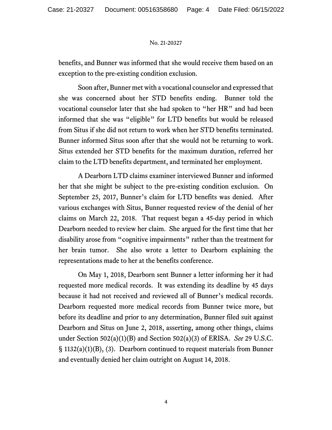benefits, and Bunner was informed that she would receive them based on an exception to the pre-existing condition exclusion.

Soon after, Bunner met with a vocational counselor and expressed that she was concerned about her STD benefits ending. Bunner told the vocational counselor later that she had spoken to "her HR" and had been informed that she was "eligible" for LTD benefits but would be released from Situs if she did not return to work when her STD benefits terminated. Bunner informed Situs soon after that she would not be returning to work. Situs extended her STD benefits for the maximum duration, referred her claim to the LTD benefits department, and terminated her employment.

A Dearborn LTD claims examiner interviewed Bunner and informed her that she might be subject to the pre-existing condition exclusion. On September 25, 2017, Bunner's claim for LTD benefits was denied. After various exchanges with Situs, Bunner requested review of the denial of her claims on March 22, 2018. That request began a 45-day period in which Dearborn needed to review her claim. She argued for the first time that her disability arose from "cognitive impairments" rather than the treatment for her brain tumor. She also wrote a letter to Dearborn explaining the representations made to her at the benefits conference.

On May 1, 2018, Dearborn sent Bunner a letter informing her it had requested more medical records. It was extending its deadline by 45 days because it had not received and reviewed all of Bunner's medical records. Dearborn requested more medical records from Bunner twice more, but before its deadline and prior to any determination, Bunner filed suit against Dearborn and Situs on June 2, 2018, asserting, among other things, claims under Section 502(a)(1)(B) and Section 502(a)(3) of ERISA. *See* 29 U.S.C. § 1132(a)(1)(B), (3). Dearborn continued to request materials from Bunner and eventually denied her claim outright on August 14, 2018.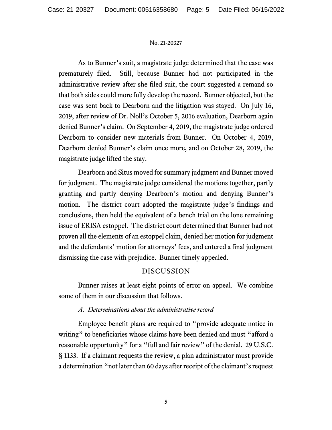As to Bunner's suit, a magistrate judge determined that the case was prematurely filed. Still, because Bunner had not participated in the administrative review after she filed suit, the court suggested a remand so that both sides could more fully develop the record. Bunner objected, but the case was sent back to Dearborn and the litigation was stayed. On July 16, 2019, after review of Dr. Noll's October 5, 2016 evaluation, Dearborn again denied Bunner's claim. On September 4, 2019, the magistrate judge ordered Dearborn to consider new materials from Bunner. On October 4, 2019, Dearborn denied Bunner's claim once more, and on October 28, 2019, the magistrate judge lifted the stay.

Dearborn and Situs moved for summary judgment and Bunner moved for judgment. The magistrate judge considered the motions together, partly granting and partly denying Dearborn's motion and denying Bunner's motion. The district court adopted the magistrate judge's findings and conclusions, then held the equivalent of a bench trial on the lone remaining issue of ERISA estoppel. The district court determined that Bunner had not proven all the elements of an estoppel claim, denied her motion for judgment and the defendants' motion for attorneys' fees, and entered a final judgment dismissing the case with prejudice. Bunner timely appealed.

# DISCUSSION

Bunner raises at least eight points of error on appeal. We combine some of them in our discussion that follows.

## *A. Determinations about the administrative record*

Employee benefit plans are required to "provide adequate notice in writing" to beneficiaries whose claims have been denied and must "afford a reasonable opportunity" for a "full and fair review" of the denial. 29 U.S.C. § 1133. If a claimant requests the review, a plan administrator must provide a determination "not later than 60 days after receipt of the claimant's request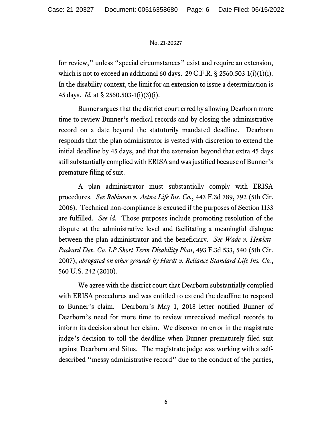for review," unless "special circumstances" exist and require an extension, which is not to exceed an additional 60 days. 29 C.F.R.  $\S$  2560.503-1(i)(1)(i). In the disability context, the limit for an extension to issue a determination is 45 days. *Id.* at § 2560.503-1(i)(3)(i).

Bunner argues that the district court erred by allowing Dearborn more time to review Bunner's medical records and by closing the administrative record on a date beyond the statutorily mandated deadline. Dearborn responds that the plan administrator is vested with discretion to extend the initial deadline by 45 days, and that the extension beyond that extra 45 days still substantially complied with ERISA and was justified because of Bunner's premature filing of suit.

A plan administrator must substantially comply with ERISA procedures. *See Robinson v. Aetna Life Ins. Co.*, 443 F.3d 389, 392 (5th Cir. 2006). Technical non-compliance is excused if the purposes of Section 1133 are fulfilled. *See id.* Those purposes include promoting resolution of the dispute at the administrative level and facilitating a meaningful dialogue between the plan administrator and the beneficiary. *See Wade v. Hewlett-Packard Dev. Co. LP Short Term Disability Plan*, 493 F.3d 533, 540 (5th Cir. 2007), *abrogated on other grounds by Hardt v. Reliance Standard Life Ins. Co.*, 560 U.S. 242 (2010).

We agree with the district court that Dearborn substantially complied with ERISA procedures and was entitled to extend the deadline to respond to Bunner's claim. Dearborn's May 1, 2018 letter notified Bunner of Dearborn's need for more time to review unreceived medical records to inform its decision about her claim. We discover no error in the magistrate judge's decision to toll the deadline when Bunner prematurely filed suit against Dearborn and Situs. The magistrate judge was working with a selfdescribed "messy administrative record" due to the conduct of the parties,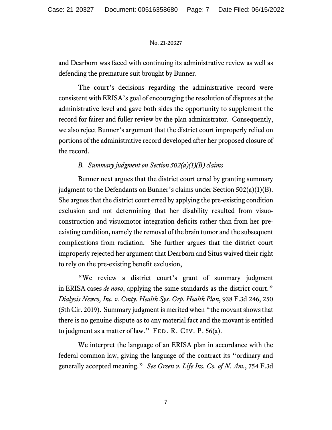and Dearborn was faced with continuing its administrative review as well as defending the premature suit brought by Bunner.

The court's decisions regarding the administrative record were consistent with ERISA's goal of encouraging the resolution of disputes at the administrative level and gave both sides the opportunity to supplement the record for fairer and fuller review by the plan administrator. Consequently, we also reject Bunner's argument that the district court improperly relied on portions of the administrative record developed after her proposed closure of the record.

## *B. Summary judgment on Section 502(a)(1)(B) claims*

Bunner next argues that the district court erred by granting summary judgment to the Defendants on Bunner's claims under Section 502(a)(1)(B). She argues that the district court erred by applying the pre-existing condition exclusion and not determining that her disability resulted from visuoconstruction and visuomotor integration deficits rather than from her preexisting condition, namely the removal of the brain tumor and the subsequent complications from radiation. She further argues that the district court improperly rejected her argument that Dearborn and Situs waived their right to rely on the pre-existing benefit exclusion,

"We review a district court's grant of summary judgment in ERISA cases *de novo*, applying the same standards as the district court." *Dialysis Newco, Inc. v. Cmty. Health Sys. Grp. Health Plan*, 938 F.3d 246, 250 (5th Cir. 2019). Summary judgment is merited when "the movant shows that there is no genuine dispute as to any material fact and the movant is entitled to judgment as a matter of law." FED. R. CIV. P.  $56(a)$ .

We interpret the language of an ERISA plan in accordance with the federal common law, giving the language of the contract its "ordinary and generally accepted meaning." *See Green v. Life Ins. Co. of N. Am.*, 754 F.3d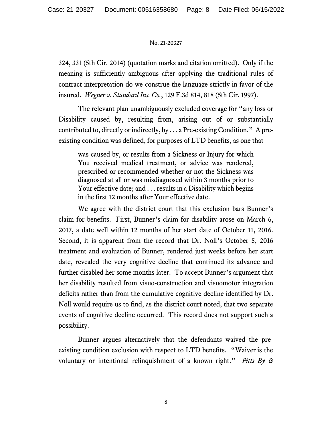324, 331 (5th Cir. 2014) (quotation marks and citation omitted). Only if the meaning is sufficiently ambiguous after applying the traditional rules of contract interpretation do we construe the language strictly in favor of the insured. *Wegner v. Standard Ins. Co.*, 129 F.3d 814, 818 (5th Cir. 1997).

The relevant plan unambiguously excluded coverage for "any loss or Disability caused by, resulting from, arising out of or substantially contributed to, directly or indirectly, by . . . a Pre-existing Condition." A preexisting condition was defined, for purposes of LTD benefits, as one that

was caused by, or results from a Sickness or Injury for which You received medical treatment, or advice was rendered, prescribed or recommended whether or not the Sickness was diagnosed at all or was misdiagnosed within 3 months prior to Your effective date; and . . . results in a Disability which begins in the first 12 months after Your effective date.

We agree with the district court that this exclusion bars Bunner's claim for benefits. First, Bunner's claim for disability arose on March 6, 2017, a date well within 12 months of her start date of October 11, 2016. Second, it is apparent from the record that Dr. Noll's October 5, 2016 treatment and evaluation of Bunner, rendered just weeks before her start date, revealed the very cognitive decline that continued its advance and further disabled her some months later. To accept Bunner's argument that her disability resulted from visuo-construction and visuomotor integration deficits rather than from the cumulative cognitive decline identified by Dr. Noll would require us to find, as the district court noted, that two separate events of cognitive decline occurred. This record does not support such a possibility.

Bunner argues alternatively that the defendants waived the preexisting condition exclusion with respect to LTD benefits. "Waiver is the voluntary or intentional relinquishment of a known right." *Pitts By &*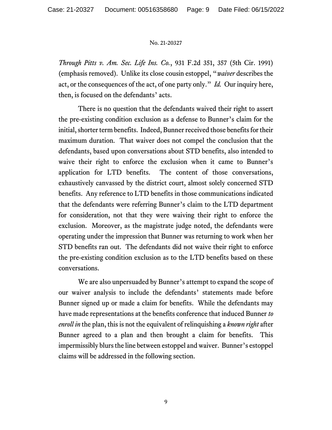*Through Pitts v. Am. Sec. Life Ins. Co.*, 931 F.2d 351, 357 (5th Cir. 1991) (emphasis removed). Unlike its close cousin estoppel, "*waiver* describes the act, or the consequences of the act, of one party only." *Id.* Our inquiry here, then, is focused on the defendants' acts.

There is no question that the defendants waived their right to assert the pre-existing condition exclusion as a defense to Bunner's claim for the initial, shorter term benefits. Indeed, Bunner received those benefits for their maximum duration. That waiver does not compel the conclusion that the defendants, based upon conversations about STD benefits, also intended to waive their right to enforce the exclusion when it came to Bunner's application for LTD benefits. The content of those conversations, exhaustively canvassed by the district court, almost solely concerned STD benefits. Any reference to LTD benefits in those communications indicated that the defendants were referring Bunner's claim to the LTD department for consideration, not that they were waiving their right to enforce the exclusion. Moreover, as the magistrate judge noted, the defendants were operating under the impression that Bunner was returning to work when her STD benefits ran out. The defendants did not waive their right to enforce the pre-existing condition exclusion as to the LTD benefits based on these conversations.

We are also unpersuaded by Bunner's attempt to expand the scope of our waiver analysis to include the defendants' statements made before Bunner signed up or made a claim for benefits. While the defendants may have made representations at the benefits conference that induced Bunner *to enroll in* the plan, this is not the equivalent of relinquishing a *known right* after Bunner agreed to a plan and then brought a claim for benefits. This impermissibly blurs the line between estoppel and waiver. Bunner's estoppel claims will be addressed in the following section.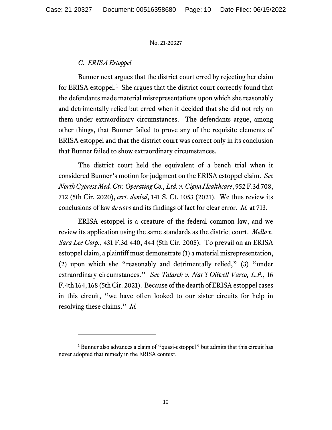## *C. ERISA Estoppel*

Bunner next argues that the district court erred by rejecting her claim for ERISA estoppel.<sup>[1](#page-9-0)</sup> She argues that the district court correctly found that the defendants made material misrepresentations upon which she reasonably and detrimentally relied but erred when it decided that she did not rely on them under extraordinary circumstances. The defendants argue, among other things, that Bunner failed to prove any of the requisite elements of ERISA estoppel and that the district court was correct only in its conclusion that Bunner failed to show extraordinary circumstances.

The district court held the equivalent of a bench trial when it considered Bunner's motion for judgment on the ERISA estoppel claim. *See North Cypress Med. Ctr. Operating Co., Ltd. v. Cigna Healthcare*, 952 F.3d 708, 712 (5th Cir. 2020), *cert. denied*, 141 S. Ct. 1053 (2021).We thus review its conclusions of law *de novo* and its findings of fact for clear error. *Id.* at 713.

ERISA estoppel is a creature of the federal common law, and we review its application using the same standards as the district court. *Mello v. Sara Lee Corp.*, 431 F.3d 440, 444 (5th Cir. 2005). To prevail on an ERISA estoppel claim, a plaintiff must demonstrate (1) a material misrepresentation, (2) upon which she "reasonably and detrimentally relied," (3) "under extraordinary circumstances." *See Talasek v. Nat'l Oilwell Varco, L.P.*, 16 F.4th 164, 168 (5th Cir. 2021). Because of the dearth of ERISA estoppel cases in this circuit, "we have often looked to our sister circuits for help in resolving these claims." *Id.* 

<span id="page-9-0"></span><sup>&</sup>lt;sup>1</sup> Bunner also advances a claim of "quasi-estoppel" but admits that this circuit has never adopted that remedy in the ERISA context.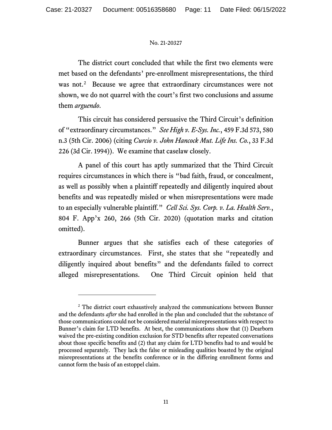The district court concluded that while the first two elements were met based on the defendants' pre-enrollment misrepresentations, the third was not.<sup>2</sup> Because we agree that extraordinary circumstances were not shown, we do not quarrel with the court's first two conclusions and assume them *arguendo*.

This circuit has considered persuasive the Third Circuit's definition of "extraordinary circumstances." *See High v. E-Sys. Inc.*, 459 F.3d 573, 580 n.3 (5th Cir. 2006) (citing *Curcio v. John Hancock Mut. Life Ins. Co.*, 33 F.3d 226 (3d Cir. 1994)). We examine that caselaw closely.

A panel of this court has aptly summarized that the Third Circuit requires circumstances in which there is "bad faith, fraud, or concealment, as well as possibly when a plaintiff repeatedly and diligently inquired about benefits and was repeatedly misled or when misrepresentations were made to an especially vulnerable plaintiff." *Cell Sci. Sys. Corp. v. La. Health Serv.*, 804 F. App'x 260, 266 (5th Cir. 2020) (quotation marks and citation omitted).

Bunner argues that she satisfies each of these categories of extraordinary circumstances. First, she states that she "repeatedly and diligently inquired about benefits" and the defendants failed to correct alleged misrepresentations. One Third Circuit opinion held that

<span id="page-10-0"></span><sup>&</sup>lt;sup>2</sup> The district court exhaustively analyzed the communications between Bunner and the defendants *after* she had enrolled in the plan and concluded that the substance of those communications could not be considered material misrepresentations with respect to Bunner's claim for LTD benefits. At best, the communications show that (1) Dearborn waived the pre-existing condition exclusion for STD benefits after repeated conversations about those specific benefits and (2) that any claim for LTD benefits had to and would be processed separately. They lack the false or misleading qualities boasted by the original misrepresentations at the benefits conference or in the differing enrollment forms and cannot form the basis of an estoppel claim.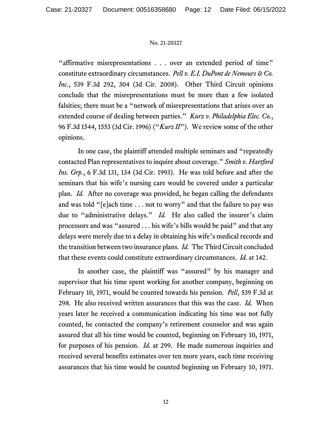"affirmative misrepresentations . . . over an extended period of time" constitute extraordinary circumstances. *Pell v. E.I. DuPont de Nemours & Co. Inc.*, 539 F.3d 292, 304 (3d Cir. 2008). Other Third Circuit opinions conclude that the misrepresentations must be more than a few isolated falsities; there must be a "network of misrepresentations that arises over an extended course of dealing between parties." *Kurz v. Philadelphia Elec. Co.*, 96 F.3d 1544, 1553 (3d Cir. 1996) ("*Kurz II*"). We review some of the other opinions.

In one case, the plaintiff attended multiple seminars and "repeatedly contacted Plan representatives to inquire about coverage." *Smith v. Hartford Ins. Grp.*, 6 F.3d 131, 134 (3d Cir. 1993). He was told before and after the seminars that his wife's nursing care would be covered under a particular plan. *Id.* After no coverage was provided, he began calling the defendants and was told "[e]ach time . . . not to worry" and that the failure to pay was due to "administrative delays." *Id.* He also called the insurer's claim processors and was "assured . . . his wife's bills would be paid" and that any delays were merely due to a delay in obtaining his wife's medical records and the transition between two insurance plans. *Id.* The Third Circuit concluded that these events could constitute extraordinary circumstances. *Id.* at 142.

In another case, the plaintiff was "assured" by his manager and supervisor that his time spent working for another company, beginning on February 10, 1971, would be counted towards his pension. *Pell*, 539 F.3d at 298. He also received written assurances that this was the case. *Id.* When years later he received a communication indicating his time was not fully counted, he contacted the company's retirement counselor and was again assured that all his time would be counted, beginning on February 10, 1971, for purposes of his pension. *Id.* at 299. He made numerous inquiries and received several benefits estimates over ten more years, each time receiving assurances that his time would be counted beginning on February 10, 1971.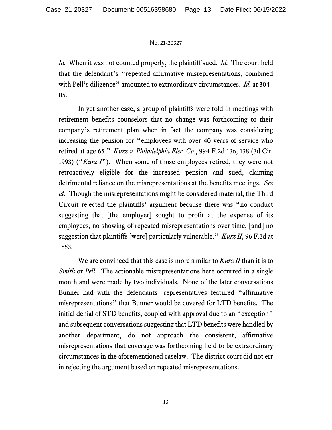*Id.* When it was not counted properly, the plaintiff sued. *Id.* The court held that the defendant's "repeated affirmative misrepresentations, combined with Pell's diligence" amounted to extraordinary circumstances. *Id.* at 304– 05.

In yet another case, a group of plaintiffs were told in meetings with retirement benefits counselors that no change was forthcoming to their company's retirement plan when in fact the company was considering increasing the pension for "employees with over 40 years of service who retired at age 65." *Kurz v. Philadelphia Elec. Co.*, 994 F.2d 136, 138 (3d Cir. 1993) ("*Kurz I*"). When some of those employees retired, they were not retroactively eligible for the increased pension and sued, claiming detrimental reliance on the misrepresentations at the benefits meetings. *See id.* Though the misrepresentations might be considered material, the Third Circuit rejected the plaintiffs' argument because there was "no conduct suggesting that [the employer] sought to profit at the expense of its employees, no showing of repeated misrepresentations over time, [and] no suggestion that plaintiffs [were] particularly vulnerable." *Kurz II*, 96 F.3d at 1553.

We are convinced that this case is more similar to *Kurz II* than it is to *Smith* or *Pell*. The actionable misrepresentations here occurred in a single month and were made by two individuals. None of the later conversations Bunner had with the defendants' representatives featured "affirmative misrepresentations" that Bunner would be covered for LTD benefits. The initial denial of STD benefits, coupled with approval due to an "exception" and subsequent conversations suggesting that LTD benefits were handled by another department, do not approach the consistent, affirmative misrepresentations that coverage was forthcoming held to be extraordinary circumstances in the aforementioned caselaw. The district court did not err in rejecting the argument based on repeated misrepresentations.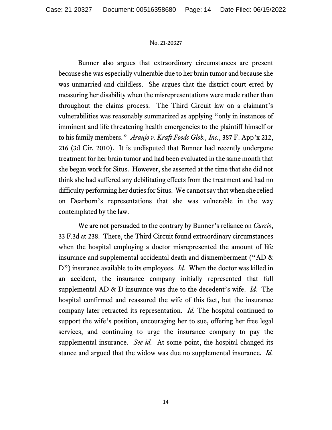Bunner also argues that extraordinary circumstances are present because she was especially vulnerable due to her brain tumor and because she was unmarried and childless. She argues that the district court erred by measuring her disability when the misrepresentations were made rather than throughout the claims process. The Third Circuit law on a claimant's vulnerabilities was reasonably summarized as applying "only in instances of imminent and life threatening health emergencies to the plaintiff himself or to his family members." *Araujo v. Kraft Foods Glob., Inc.*, 387 F. App'x 212, 216 (3d Cir. 2010). It is undisputed that Bunner had recently undergone treatment for her brain tumor and had been evaluated in the same month that she began work for Situs. However, she asserted at the time that she did not think she had suffered any debilitating effects from the treatment and had no difficulty performing her duties for Situs. We cannot say that when she relied on Dearborn's representations that she was vulnerable in the way contemplated by the law.

We are not persuaded to the contrary by Bunner's reliance on *Curcio*, 33 F.3d at 238. There, the Third Circuit found extraordinary circumstances when the hospital employing a doctor misrepresented the amount of life insurance and supplemental accidental death and dismemberment ("AD & D") insurance available to its employees. *Id.* When the doctor was killed in an accident, the insurance company initially represented that full supplemental AD & D insurance was due to the decedent's wife. *Id.* The hospital confirmed and reassured the wife of this fact, but the insurance company later retracted its representation. *Id.* The hospital continued to support the wife's position, encouraging her to sue, offering her free legal services, and continuing to urge the insurance company to pay the supplemental insurance. *See id.* At some point, the hospital changed its stance and argued that the widow was due no supplemental insurance. *Id.*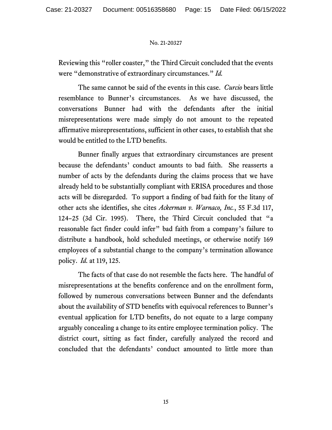Reviewing this "roller coaster," the Third Circuit concluded that the events were "demonstrative of extraordinary circumstances." *Id.* 

The same cannot be said of the events in this case. *Curcio* bears little resemblance to Bunner's circumstances. As we have discussed, the conversations Bunner had with the defendants after the initial misrepresentations were made simply do not amount to the repeated affirmative misrepresentations, sufficient in other cases, to establish that she would be entitled to the LTD benefits.

Bunner finally argues that extraordinary circumstances are present because the defendants' conduct amounts to bad faith. She reasserts a number of acts by the defendants during the claims process that we have already held to be substantially compliant with ERISA procedures and those acts will be disregarded. To support a finding of bad faith for the litany of other acts she identifies, she cites *Ackerman v. Warnaco, Inc.*, 55 F.3d 117, 124–25 (3d Cir. 1995). There, the Third Circuit concluded that "a reasonable fact finder could infer" bad faith from a company's failure to distribute a handbook, hold scheduled meetings, or otherwise notify 169 employees of a substantial change to the company's termination allowance policy. *Id.* at 119, 125.

The facts of that case do not resemble the facts here. The handful of misrepresentations at the benefits conference and on the enrollment form, followed by numerous conversations between Bunner and the defendants about the availability of STD benefits with equivocal references to Bunner's eventual application for LTD benefits, do not equate to a large company arguably concealing a change to its entire employee termination policy. The district court, sitting as fact finder, carefully analyzed the record and concluded that the defendants' conduct amounted to little more than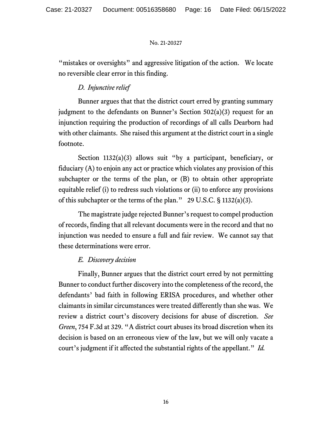"mistakes or oversights" and aggressive litigation of the action. We locate no reversible clear error in this finding.

## *D. Injunctive relief*

Bunner argues that that the district court erred by granting summary judgment to the defendants on Bunner's Section 502(a)(3) request for an injunction requiring the production of recordings of all calls Dearborn had with other claimants. She raised this argument at the district court in a single footnote.

Section 1132(a)(3) allows suit "by a participant, beneficiary, or fiduciary (A) to enjoin any act or practice which violates any provision of this subchapter or the terms of the plan, or (B) to obtain other appropriate equitable relief (i) to redress such violations or (ii) to enforce any provisions of this subchapter or the terms of the plan." 29 U.S.C. § 1132(a)(3).

The magistrate judge rejected Bunner's request to compel production of records, finding that all relevant documents were in the record and that no injunction was needed to ensure a full and fair review. We cannot say that these determinations were error.

## *E. Discovery decision*

Finally, Bunner argues that the district court erred by not permitting Bunner to conduct further discovery into the completeness of the record, the defendants' bad faith in following ERISA procedures, and whether other claimants in similar circumstances were treated differently than she was. We review a district court's discovery decisions for abuse of discretion. *See Green*, 754 F.3d at 329. "A district court abuses its broad discretion when its decision is based on an erroneous view of the law, but we will only vacate a court's judgment if it affected the substantial rights of the appellant." *Id.*